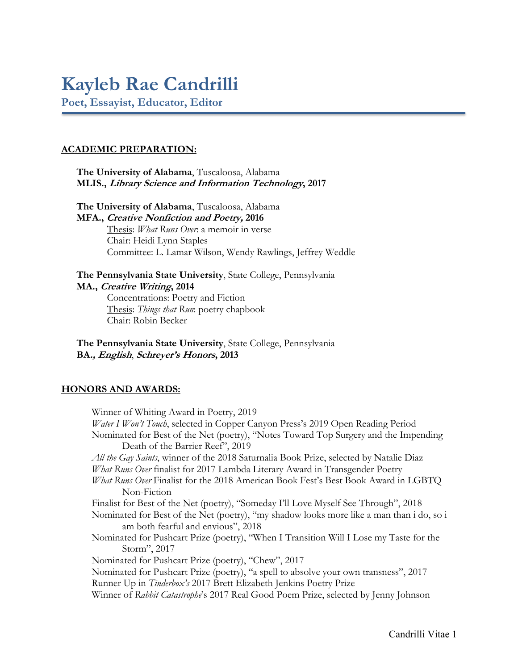# **Kayleb Rae Candrilli**

**Poet, Essayist, Educator, Editor**

## **ACADEMIC PREPARATION:**

**The University of Alabama**, Tuscaloosa, Alabama **MLIS., Library Science and Information Technology, 2017**

**The University of Alabama**, Tuscaloosa, Alabama **MFA., Creative Nonfiction and Poetry, 2016** Thesis: *What Runs Over*: a memoir in verse Chair: Heidi Lynn Staples Committee: L. Lamar Wilson, Wendy Rawlings, Jeffrey Weddle

**The Pennsylvania State University**, State College, Pennsylvania **MA., Creative Writing, 2014**

> Concentrations: Poetry and Fiction Thesis: *Things that Run*: poetry chapbook Chair: Robin Becker

**The Pennsylvania State University**, State College, Pennsylvania **BA., English**, **Schreyer's Honors, 2013**

## **HONORS AND AWARDS:**

Winner of Whiting Award in Poetry, 2019 *Water I Won't Touch*, selected in Copper Canyon Press's 2019 Open Reading Period Nominated for Best of the Net (poetry), "Notes Toward Top Surgery and the Impending Death of the Barrier Reef", 2019 *All the Gay Saints*, winner of the 2018 Saturnalia Book Prize, selected by Natalie Diaz *What Runs Over* finalist for 2017 Lambda Literary Award in Transgender Poetry *What Runs Over* Finalist for the 2018 American Book Fest's Best Book Award in LGBTQ Non-Fiction Finalist for Best of the Net (poetry), "Someday I'll Love Myself See Through", 2018 Nominated for Best of the Net (poetry), "my shadow looks more like a man than i do, so i am both fearful and envious", 2018 Nominated for Pushcart Prize (poetry), "When I Transition Will I Lose my Taste for the Storm", 2017 Nominated for Pushcart Prize (poetry), "Chew", 2017 Nominated for Pushcart Prize (poetry), "a spell to absolve your own transness", 2017 Runner Up in *Tinderbox's* 2017 Brett Elizabeth Jenkins Poetry Prize Winner of *Rabbit Catastrophe*'s 2017 Real Good Poem Prize, selected by Jenny Johnson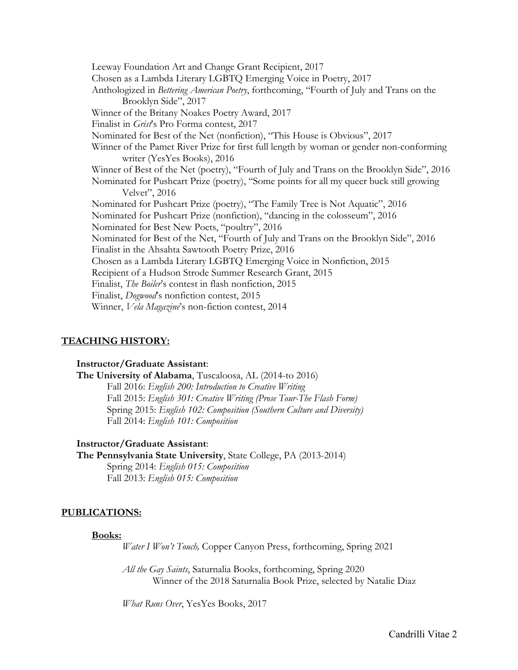Leeway Foundation Art and Change Grant Recipient, 2017 Chosen as a Lambda Literary LGBTQ Emerging Voice in Poetry, 2017 Anthologized in *Bettering American Poetry*, forthcoming, "Fourth of July and Trans on the Brooklyn Side", 2017 Winner of the Britany Noakes Poetry Award, 2017 Finalist in *Grist*'s Pro Forma contest, 2017 Nominated for Best of the Net (nonfiction), "This House is Obvious", 2017 Winner of the Pamet River Prize for first full length by woman or gender non-conforming writer (YesYes Books), 2016 Winner of Best of the Net (poetry), "Fourth of July and Trans on the Brooklyn Side", 2016 Nominated for Pushcart Prize (poetry), "Some points for all my queer buck still growing Velvet", 2016 Nominated for Pushcart Prize (poetry), "The Family Tree is Not Aquatic", 2016 Nominated for Pushcart Prize (nonfiction), "dancing in the colosseum", 2016 Nominated for Best New Poets, "poultry", 2016 Nominated for Best of the Net, "Fourth of July and Trans on the Brooklyn Side", 2016 Finalist in the Ahsahta Sawtooth Poetry Prize, 2016 Chosen as a Lambda Literary LGBTQ Emerging Voice in Nonfiction, 2015 Recipient of a Hudson Strode Summer Research Grant, 2015 Finalist, *The Boiler*'s contest in flash nonfiction, 2015 Finalist, *Dogwood*'s nonfiction contest, 2015 Winner, *Vela Magazine*'s non-fiction contest, 2014

## **TEACHING HISTORY:**

### **Instructor/Graduate Assistant**:

**The University of Alabama**, Tuscaloosa, AL (2014-to 2016) Fall 2016: *English 200: Introduction to Creative Writing* Fall 2015: *English 301: Creative Writing (Prose Tour-The Flash Form)* Spring 2015: *English 102: Composition (Southern Culture and Diversity)* Fall 2014: *English 101: Composition*

**Instructor/Graduate Assistant**:

**The Pennsylvania State University**, State College, PA (2013-2014) Spring 2014: *English 015: Composition* Fall 2013: *English 015: Composition*

### **PUBLICATIONS:**

#### **Books:**

*Water I Won't Touch,* Copper Canyon Press, forthcoming, Spring 2021

*All the Gay Saints*, Saturnalia Books, forthcoming, Spring 2020 Winner of the 2018 Saturnalia Book Prize, selected by Natalie Diaz

*What Runs Over*, YesYes Books, 2017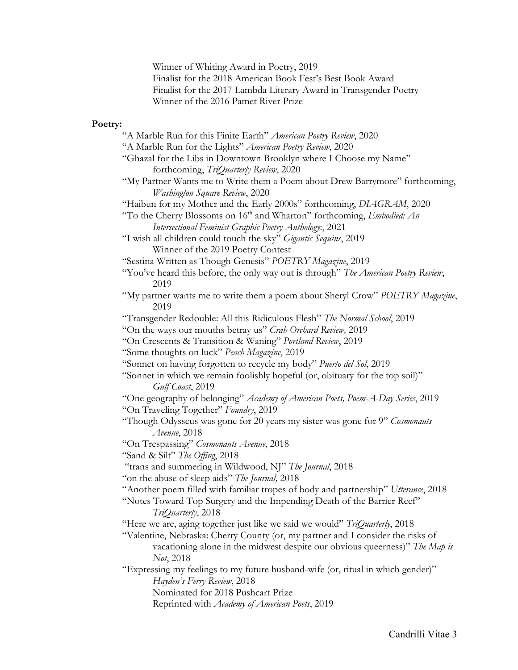Winner of Whiting Award in Poetry, 2019 Finalist for the 2018 American Book Fest's Best Book Award Finalist for the 2017 Lambda Literary Award in Transgender Poetry Winner of the 2016 Pamet River Prize

## **Poetry:**

"A Marble Run for this Finite Earth" *American Poetry Review*, 2020 "A Marble Run for the Lights" *American Poetry Review*, 2020 "Ghazal for the Libs in Downtown Brooklyn where I Choose my Name" forthcoming, *TriQuarterly Review*, 2020 "My Partner Wants me to Write them a Poem about Drew Barrymore" forthcoming, *Washington Square Review*, 2020 "Haibun for my Mother and the Early 2000s" forthcoming, *DIAGRAM*, 2020 "To the Cherry Blossoms on 16<sup>th</sup> and Wharton" forthcoming, *Embodied: An Intersectional Feminist Graphic Poetry Anthology*:, 2021 "I wish all children could touch the sky" *Gigantic Sequins*, 2019 Winner of the 2019 Poetry Contest "Sestina Written as Though Genesis" *POETRY Magazine*, 2019 "You've heard this before, the only way out is through" *The American Poetry Review*, 2019 "My partner wants me to write them a poem about Sheryl Crow" *POETRY Magazine*, 2019 "Transgender Redouble: All this Ridiculous Flesh" *The Normal School*, 2019 "On the ways our mouths betray us" *Crab Orchard Review,* 2019 "On Crescents & Transition & Waning" *Portland Review*, 2019 "Some thoughts on luck" *Peach Magazine*, 2019 "Sonnet on having forgotten to recycle my body" *Puerto del Sol*, 2019 "Sonnet in which we remain foolishly hopeful (or, obituary for the top soil)" *Gulf Coast*, 2019 "One geography of belonging" *Academy of American Poets, Poem-A-Day Series*, 2019 "On Traveling Together" *Foundry*, 2019 "Though Odysseus was gone for 20 years my sister was gone for 9" *Cosmonauts Avenue*, 2018 "On Trespassing" *Cosmonauts Avenue*, 2018 "Sand & Silt" *The Offing*, 2018 "trans and summering in Wildwood, NJ" *The Journal*, 2018 "on the abuse of sleep aids" *The Journal,* 2018 "Another poem filled with familiar tropes of body and partnership" *Utterance*, 2018 "Notes Toward Top Surgery and the Impending Death of the Barrier Reef" *TriQuarterly*, 2018 "Here we are, aging together just like we said we would" *TriQuarterly*, 2018 "Valentine, Nebraska: Cherry County (or, my partner and I consider the risks of vacationing alone in the midwest despite our obvious queerness)" *The Map is Not*, 2018 "Expressing my feelings to my future husband-wife (or, ritual in which gender)" *Hayden's Ferry Review*, 2018 Nominated for 2018 Pushcart Prize

Reprinted with *Academy of American Poets*, 2019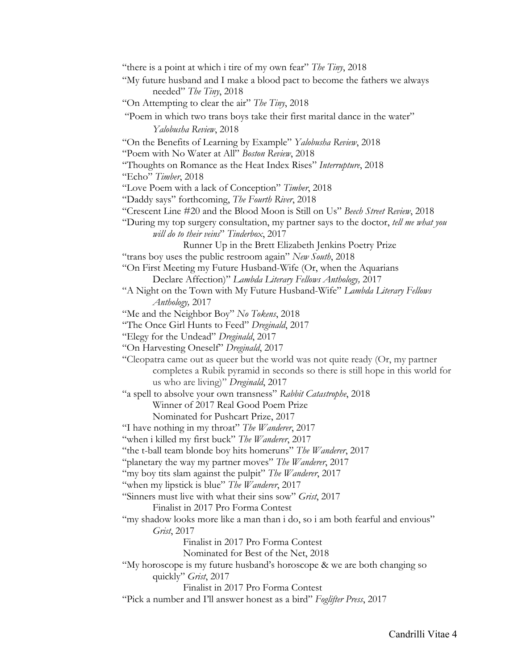"there is a point at which i tire of my own fear" *The Tiny*, 2018 "My future husband and I make a blood pact to become the fathers we always needed" *The Tiny*, 2018 "On Attempting to clear the air" *The Tiny*, 2018 "Poem in which two trans boys take their first marital dance in the water" *Yalobusha Review*, 2018 "On the Benefits of Learning by Example" *Yalobusha Review*, 2018 "Poem with No Water at All" *Boston Review*, 2018 "Thoughts on Romance as the Heat Index Rises" *Interrupture*, 2018 "Echo" *Timber*, 2018 "Love Poem with a lack of Conception" *Timber*, 2018 "Daddy says" forthcoming, *The Fourth River*, 2018 "Crescent Line #20 and the Blood Moon is Still on Us" *Beech Street Review*, 2018 "During my top surgery consultation, my partner says to the doctor, *tell me what you will do to their veins*" *Tinderbox*, 2017 Runner Up in the Brett Elizabeth Jenkins Poetry Prize "trans boy uses the public restroom again" *New South*, 2018 "On First Meeting my Future Husband-Wife (Or, when the Aquarians Declare Affection)" *Lambda Literary Fellows Anthology,* 2017 "A Night on the Town with My Future Husband-Wife" *Lambda Literary Fellows Anthology,* 2017 "Me and the Neighbor Boy" *No Tokens*, 2018 "The Once Girl Hunts to Feed" *Dreginald*, 2017 "Elegy for the Undead" *Dreginald*, 2017 "On Harvesting Oneself" *Dreginald*, 2017 "Cleopatra came out as queer but the world was not quite ready (Or, my partner completes a Rubik pyramid in seconds so there is still hope in this world for us who are living)" *Dreginald*, 2017 "a spell to absolve your own transness" *Rabbit Catastrophe*, 2018 Winner of 2017 Real Good Poem Prize Nominated for Pushcart Prize, 2017 "I have nothing in my throat" *The Wanderer*, 2017 "when i killed my first buck" *The Wanderer*, 2017 "the t-ball team blonde boy hits homeruns" *The Wanderer*, 2017 "planetary the way my partner moves" *The Wanderer*, 2017 "my boy tits slam against the pulpit" *The Wanderer*, 2017 "when my lipstick is blue" *The Wanderer*, 2017 "Sinners must live with what their sins sow" *Grist*, 2017 Finalist in 2017 Pro Forma Contest "my shadow looks more like a man than i do, so i am both fearful and envious" *Grist*, 2017 Finalist in 2017 Pro Forma Contest Nominated for Best of the Net, 2018 "My horoscope is my future husband's horoscope & we are both changing so quickly" *Grist*, 2017 Finalist in 2017 Pro Forma Contest "Pick a number and I'll answer honest as a bird" *Foglifter Press*, 2017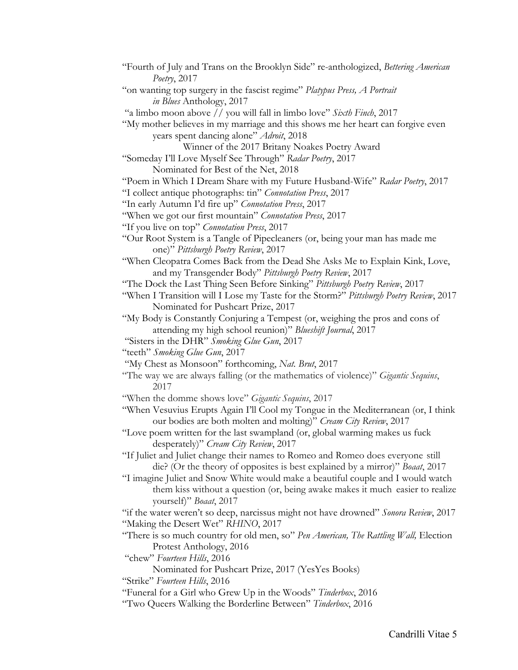"Fourth of July and Trans on the Brooklyn Side" re-anthologized, *Bettering American Poetry*, 2017 "on wanting top surgery in the fascist regime" *Platypus Press, A Portrait in Blues* Anthology, 2017 "a limbo moon above // you will fall in limbo love" *Sixth Finch*, 2017 "My mother believes in my marriage and this shows me her heart can forgive even years spent dancing alone" *Adroit*, 2018 Winner of the 2017 Britany Noakes Poetry Award "Someday I'll Love Myself See Through" *Radar Poetry*, 2017 Nominated for Best of the Net, 2018 "Poem in Which I Dream Share with my Future Husband-Wife" *Radar Poetry*, 2017 "I collect antique photographs: tin" *Connotation Press*, 2017 "In early Autumn I'd fire up" *Connotation Press*, 2017 "When we got our first mountain" *Connotation Press*, 2017 "If you live on top" *Connotation Press*, 2017 "Our Root System is a Tangle of Pipecleaners (or, being your man has made me one)" *Pittsburgh Poetry Review*, 2017 "When Cleopatra Comes Back from the Dead She Asks Me to Explain Kink, Love, and my Transgender Body" *Pittsburgh Poetry Review*, 2017 "The Dock the Last Thing Seen Before Sinking" *Pittsburgh Poetry Review*, 2017 "When I Transition will I Lose my Taste for the Storm?" *Pittsburgh Poetry Review*, 2017 Nominated for Pushcart Prize, 2017 "My Body is Constantly Conjuring a Tempest (or, weighing the pros and cons of attending my high school reunion)" *Blueshift Journal*, 2017 "Sisters in the DHR" *Smoking Glue Gun*, 2017 "teeth" *Smoking Glue Gun*, 2017 "My Chest as Monsoon" forthcoming, *Nat. Brut*, 2017 "The way we are always falling (or the mathematics of violence)" *Gigantic Sequins*, 2017 "When the domme shows love" *Gigantic Sequins*, 2017 "When Vesuvius Erupts Again I'll Cool my Tongue in the Mediterranean (or, I think our bodies are both molten and molting)" *Cream City Review*, 2017 "Love poem written for the last swampland (or, global warming makes us fuck desperately)" *Cream City Review*, 2017 "If Juliet and Juliet change their names to Romeo and Romeo does everyone still die? (Or the theory of opposites is best explained by a mirror)" *Boaat*, 2017 "I imagine Juliet and Snow White would make a beautiful couple and I would watch them kiss without a question (or, being awake makes it much easier to realize yourself)" *Boaat*, 2017 "if the water weren't so deep, narcissus might not have drowned" *Sonora Review*, 2017 "Making the Desert Wet" *RHINO*, 2017 "There is so much country for old men, so" *Pen American, The Rattling Wall,* Election Protest Anthology, 2016 "chew" *Fourteen Hills*, 2016 Nominated for Pushcart Prize, 2017 (YesYes Books) "Strike" *Fourteen Hills*, 2016 "Funeral for a Girl who Grew Up in the Woods" *Tinderbox*, 2016

"Two Queers Walking the Borderline Between" *Tinderbox*, 2016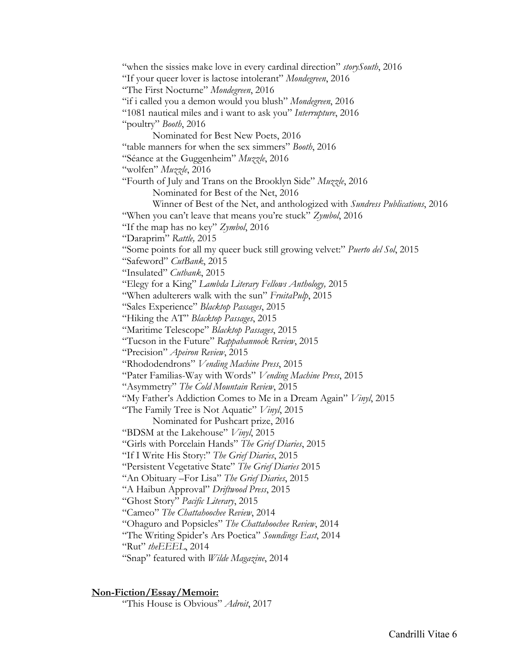"when the sissies make love in every cardinal direction" *storySouth*, 2016 "If your queer lover is lactose intolerant" *Mondegreen*, 2016 "The First Nocturne" *Mondegreen*, 2016 "if i called you a demon would you blush" *Mondegreen*, 2016 "1081 nautical miles and i want to ask you" *Interrupture*, 2016 "poultry" *Booth*, 2016 Nominated for Best New Poets, 2016 "table manners for when the sex simmers" *Booth*, 2016 "Séance at the Guggenheim" *Muzzle*, 2016 "wolfen" *Muzzle*, 2016 "Fourth of July and Trans on the Brooklyn Side" *Muzzle*, 2016 Nominated for Best of the Net, 2016 Winner of Best of the Net, and anthologized with *Sundress Publications*, 2016 "When you can't leave that means you're stuck" *Zymbol*, 2016 "If the map has no key" *Zymbol*, 2016 "Daraprim" *Rattle,* 2015 "Some points for all my queer buck still growing velvet:" *Puerto del Sol*, 2015 "Safeword" *CutBank*, 2015 "Insulated" *Cutbank*, 2015 "Elegy for a King" *Lambda Literary Fellows Anthology,* 2015 "When adulterers walk with the sun" *FruitaPulp*, 2015 "Sales Experience" *Blacktop Passages*, 2015 "Hiking the AT" *Blacktop Passages*, 2015 "Maritime Telescope" *Blacktop Passages*, 2015 "Tucson in the Future" *Rappahannock Review*, 2015 "Precision" *Apeiron Review*, 2015 "Rhododendrons" *Vending Machine Press*, 2015 "Pater Familias-Way with Words" *Vending Machine Press*, 2015 "Asymmetry" *The Cold Mountain Review*, 2015 "My Father's Addiction Comes to Me in a Dream Again" *Vinyl*, 2015 "The Family Tree is Not Aquatic" *Vinyl*, 2015 Nominated for Pushcart prize, 2016 "BDSM at the Lakehouse" *Vinyl*, 2015 "Girls with Porcelain Hands" *The Grief Diaries*, 2015 "If I Write His Story:" *The Grief Diaries*, 2015 "Persistent Vegetative State" *The Grief Diaries* 2015 "An Obituary –For Lisa" *The Grief Diaries*, 2015 "A Haibun Approval" *Driftwood Press*, 2015 "Ghost Story" *Pacific Literary*, 2015 "Cameo" *The Chattahoochee Review*, 2014 "Ohaguro and Popsicles" *The Chattahoochee Review*, 2014 "The Writing Spider's Ars Poetica" *Soundings East*, 2014 "Rut" *theEEEL*, 2014 "Snap" featured with *Wilde Magazine*, 2014

### **Non-Fiction/Essay/Memoir:**

"This House is Obvious" *Adroit*, 2017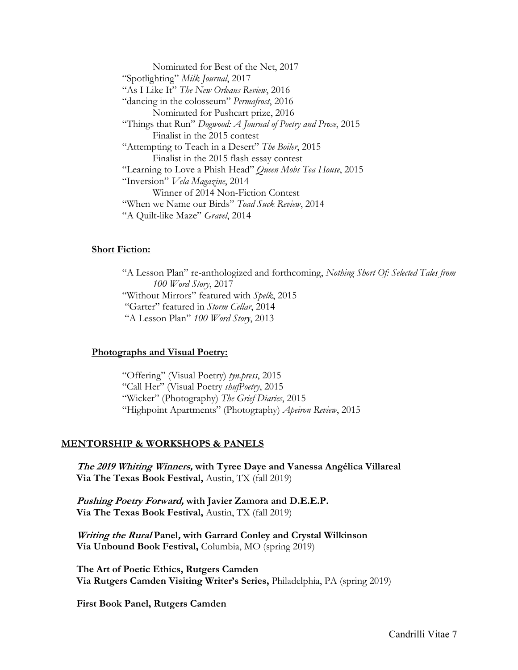Nominated for Best of the Net, 2017 "Spotlighting" *Milk Journal*, 2017 "As I Like It" *The New Orleans Review*, 2016 "dancing in the colosseum" *Permafrost*, 2016 Nominated for Pushcart prize, 2016 "Things that Run" *Dogwood: A Journal of Poetry and Prose*, 2015 Finalist in the 2015 contest "Attempting to Teach in a Desert" *The Boiler*, 2015 Finalist in the 2015 flash essay contest "Learning to Love a Phish Head" *Queen Mobs Tea House*, 2015 "Inversion" *Vela Magazine*, 2014 Winner of 2014 Non-Fiction Contest "When we Name our Birds" *Toad Suck Review*, 2014 "A Quilt-like Maze" *Gravel*, 2014

## **Short Fiction:**

"A Lesson Plan" re-anthologized and forthcoming, *Nothing Short Of: Selected Tales from 100 Word Story*, 2017 "Without Mirrors" featured with *Spelk*, 2015 "Garter" featured in *Storm Cellar*, 2014 "A Lesson Plan" *100 Word Story*, 2013

### **Photographs and Visual Poetry:**

"Offering" (Visual Poetry) *tyn.press*, 2015 "Call Her" (Visual Poetry *shufPoetry*, 2015 "Wicker" (Photography) *The Grief Diaries*, 2015 "Highpoint Apartments" (Photography) *Apeiron Review*, 2015

### **MENTORSHIP & WORKSHOPS & PANELS**

**The 2019 Whiting Winners, with Tyree Daye and Vanessa Angélica Villareal Via The Texas Book Festival,** Austin, TX (fall 2019)

**Pushing Poetry Forward, with Javier Zamora and D.E.E.P. Via The Texas Book Festival,** Austin, TX (fall 2019)

**Writing the Rural Panel, with Garrard Conley and Crystal Wilkinson Via Unbound Book Festival,** Columbia, MO (spring 2019)

**The Art of Poetic Ethics, Rutgers Camden Via Rutgers Camden Visiting Writer's Series,** Philadelphia, PA (spring 2019)

**First Book Panel, Rutgers Camden**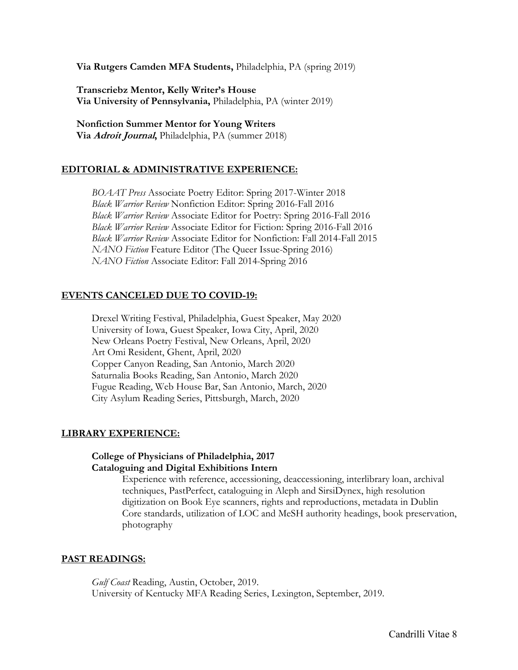**Via Rutgers Camden MFA Students,** Philadelphia, PA (spring 2019)

**Transcriebz Mentor, Kelly Writer's House Via University of Pennsylvania,** Philadelphia, PA (winter 2019)

**Nonfiction Summer Mentor for Young Writers Via Adroit Journal,** Philadelphia, PA (summer 2018)

## **EDITORIAL & ADMINISTRATIVE EXPERIENCE:**

*BOAAT Press* Associate Poetry Editor: Spring 2017-Winter 2018 *Black Warrior Review* Nonfiction Editor: Spring 2016-Fall 2016 *Black Warrior Review* Associate Editor for Poetry: Spring 2016-Fall 2016 *Black Warrior Review* Associate Editor for Fiction: Spring 2016-Fall 2016 *Black Warrior Review* Associate Editor for Nonfiction: Fall 2014-Fall 2015 *NANO Fiction* Feature Editor (The Queer Issue-Spring 2016) *NANO Fiction* Associate Editor: Fall 2014-Spring 2016

## **EVENTS CANCELED DUE TO COVID-19:**

Drexel Writing Festival, Philadelphia, Guest Speaker, May 2020 University of Iowa, Guest Speaker, Iowa City, April, 2020 New Orleans Poetry Festival, New Orleans, April, 2020 Art Omi Resident, Ghent, April, 2020 Copper Canyon Reading, San Antonio, March 2020 Saturnalia Books Reading, San Antonio, March 2020 Fugue Reading, Web House Bar, San Antonio, March, 2020 City Asylum Reading Series, Pittsburgh, March, 2020

### **LIBRARY EXPERIENCE:**

## **College of Physicians of Philadelphia, 2017 Cataloguing and Digital Exhibitions Intern**

Experience with reference, accessioning, deaccessioning, interlibrary loan, archival techniques, PastPerfect, cataloguing in Aleph and SirsiDynex, high resolution digitization on Book Eye scanners, rights and reproductions, metadata in Dublin Core standards, utilization of LOC and MeSH authority headings, book preservation, photography

### **PAST READINGS:**

*Gulf Coast* Reading, Austin, October, 2019. University of Kentucky MFA Reading Series, Lexington, September, 2019.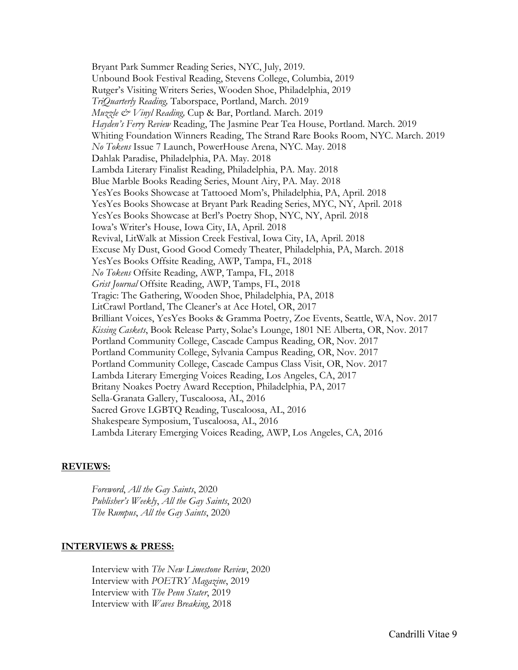Bryant Park Summer Reading Series, NYC, July, 2019. Unbound Book Festival Reading, Stevens College, Columbia, 2019 Rutger's Visiting Writers Series, Wooden Shoe, Philadelphia, 2019 *TriQuarterly Reading,* Taborspace, Portland, March. 2019 *Muzzle & Vinyl Reading,* Cup & Bar, Portland. March. 2019 *Hayden's Ferry Review* Reading, The Jasmine Pear Tea House, Portland. March. 2019 Whiting Foundation Winners Reading, The Strand Rare Books Room, NYC. March. 2019 *No Tokens* Issue 7 Launch, PowerHouse Arena, NYC. May. 2018 Dahlak Paradise, Philadelphia, PA. May. 2018 Lambda Literary Finalist Reading, Philadelphia, PA. May. 2018 Blue Marble Books Reading Series, Mount Airy, PA. May. 2018 YesYes Books Showcase at Tattooed Mom's, Philadelphia, PA, April. 2018 YesYes Books Showcase at Bryant Park Reading Series, MYC, NY, April. 2018 YesYes Books Showcase at Berl's Poetry Shop, NYC, NY, April. 2018 Iowa's Writer's House, Iowa City, IA, April. 2018 Revival, LitWalk at Mission Creek Festival, Iowa City, IA, April. 2018 Excuse My Dust, Good Good Comedy Theater, Philadelphia, PA, March. 2018 YesYes Books Offsite Reading, AWP, Tampa, FL, 2018 *No Tokens* Offsite Reading, AWP, Tampa, FL, 2018 *Grist Journal* Offsite Reading, AWP, Tamps, FL, 2018 Tragic: The Gathering, Wooden Shoe, Philadelphia, PA, 2018 LitCrawl Portland, The Cleaner's at Ace Hotel, OR, 2017 Brilliant Voices, YesYes Books & Gramma Poetry, Zoe Events, Seattle, WA, Nov. 2017 *Kissing Caskets*, Book Release Party, Solae's Lounge, 1801 NE Alberta, OR, Nov. 2017 Portland Community College, Cascade Campus Reading, OR, Nov. 2017 Portland Community College, Sylvania Campus Reading, OR, Nov. 2017 Portland Community College, Cascade Campus Class Visit, OR, Nov. 2017 Lambda Literary Emerging Voices Reading, Los Angeles, CA, 2017 Britany Noakes Poetry Award Reception, Philadelphia, PA, 2017 Sella-Granata Gallery, Tuscaloosa, AL, 2016 Sacred Grove LGBTQ Reading, Tuscaloosa, AL, 2016 Shakespeare Symposium, Tuscaloosa, AL, 2016 Lambda Literary Emerging Voices Reading, AWP, Los Angeles, CA, 2016

### **REVIEWS:**

*Foreword*, *All the Gay Saints*, 2020 *Publisher's Weekly*, *All the Gay Saints*, 2020 *The Rumpus*, *All the Gay Saints*, 2020

### **INTERVIEWS & PRESS:**

Interview with *The New Limestone Review*, 2020 Interview with *POETRY Magazine*, 2019 Interview with *The Penn Stater*, 2019 Interview with *Waves Breaking*, 2018